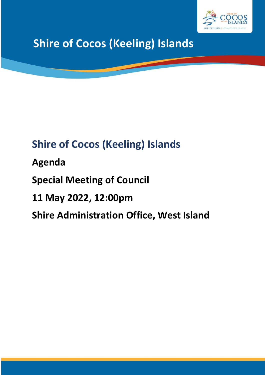

# **Shire of Cocos (Keeling) Islands**

## **Shire of Cocos (Keeling) Islands**

**Agenda**

**Special Meeting of Council**

**11 May 2022, 12:00pm**

**Shire Administration Office, West Island**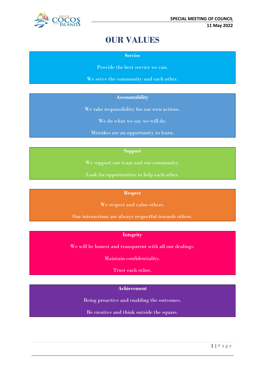

## **OUR VALUES**

**Service**

Provide the best service we can.

We serve the community and each other.

#### **Accountability**

We take responsibility for our own actions.

We do what we say we will do.

Mistakes are an opportunity to learn.

#### **Support**

We support our team and our community.

Look for opportunities to help each other.

#### **Respect**

We respect and value others.

Our interactions are always respectful towards others.

#### **Integrity**

We will be honest and transparent with all our dealings.

Maintain confidentiality.

Trust each other.

#### **Achievement**

Being proactive and enabling the outcomes.

Be creative and think outside the square.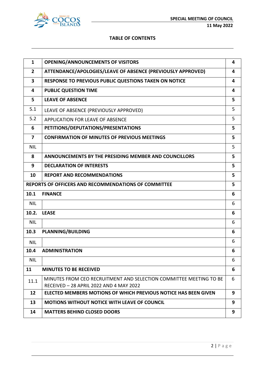

**11 May 2022**

#### **TABLE OF CONTENTS**

| $\mathbf{1}$            | <b>OPENING/ANNOUNCEMENTS OF VISITORS</b>                                                                      | 4 |
|-------------------------|---------------------------------------------------------------------------------------------------------------|---|
| $\overline{2}$          | ATTENDANCE/APOLOGIES/LEAVE OF ABSENCE (PREVIOUSLY APPROVED)                                                   | 4 |
| 3                       | RESPONSE TO PREVIOUS PUBLIC QUESTIONS TAKEN ON NOTICE                                                         | 4 |
| 4                       | <b>PUBLIC QUESTION TIME</b>                                                                                   | 4 |
| 5                       | <b>LEAVE OF ABSENCE</b>                                                                                       | 5 |
| 5.1                     | LEAVE OF ABSENCE (PREVIOUSLY APPROVED)                                                                        | 5 |
| 5.2                     | APPLICATION FOR LEAVE OF ABSENCE                                                                              | 5 |
| 6                       | PETITIONS/DEPUTATIONS/PRESENTATIONS                                                                           | 5 |
| $\overline{\mathbf{z}}$ | <b>CONFIRMATION OF MINUTES OF PREVIOUS MEETINGS</b>                                                           | 5 |
| <b>NIL</b>              |                                                                                                               | 5 |
| 8                       | ANNOUNCEMENTS BY THE PRESIDING MEMBER AND COUNCILLORS                                                         | 5 |
| 9                       | <b>DECLARATION OF INTERESTS</b>                                                                               | 5 |
| 10                      | <b>REPORT AND RECOMMENDATIONS</b>                                                                             | 5 |
|                         | REPORTS OF OFFICERS AND RECOMMENDATIONS OF COMMITTEE                                                          | 5 |
| 10.1                    | <b>FINANCE</b>                                                                                                | 6 |
| <b>NIL</b>              |                                                                                                               | 6 |
| 10.2.                   | <b>LEASE</b>                                                                                                  | 6 |
| <b>NIL</b>              |                                                                                                               | 6 |
| 10.3                    | <b>PLANNING/BUILDING</b>                                                                                      | 6 |
| <b>NIL</b>              |                                                                                                               | 6 |
| 10.4                    | <b>ADMINISTRATION</b>                                                                                         | 6 |
| <b>NIL</b>              |                                                                                                               | 6 |
| 11                      | <b>MINUTES TO BE RECEIVED</b>                                                                                 | 6 |
| 11.1                    | MINUTES FROM CEO RECRUITMENT AND SELECTION COMMITTEE MEETING TO BE<br>RECEIVED - 28 APRIL 2022 AND 4 MAY 2022 | 6 |
| 12                      | ELECTED MEMBERS MOTIONS OF WHICH PREVIOUS NOTICE HAS BEEN GIVEN                                               | 9 |
| 13                      | <b>MOTIONS WITHOUT NOTICE WITH LEAVE OF COUNCIL</b>                                                           | 9 |
| 14                      | <b>MATTERS BEHIND CLOSED DOORS</b>                                                                            | 9 |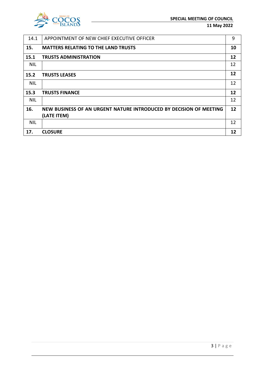

| 14.1       | APPOINTMENT OF NEW CHIEF EXECUTIVE OFFICER                         | 9  |
|------------|--------------------------------------------------------------------|----|
| 15.        | <b>MATTERS RELATING TO THE LAND TRUSTS</b>                         | 10 |
| 15.1       | <b>TRUSTS ADMINISTRATION</b>                                       | 12 |
| <b>NIL</b> |                                                                    | 12 |
| 15.2       | <b>TRUSTS LEASES</b>                                               | 12 |
| <b>NIL</b> |                                                                    | 12 |
| 15.3       | <b>TRUSTS FINANCE</b>                                              | 12 |
| <b>NIL</b> |                                                                    | 12 |
| 16.        | NEW BUSINESS OF AN URGENT NATURE INTRODUCED BY DECISION OF MEETING | 12 |
|            | (LATE ITEM)                                                        |    |
| <b>NIL</b> |                                                                    | 12 |
| 17.        | <b>CLOSURE</b>                                                     | 12 |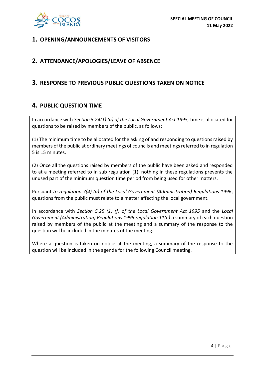

## **1. OPENING/ANNOUNCEMENTS OF VISITORS**

## **2. ATTENDANCE/APOLOGIES/LEAVE OF ABSENCE**

## **3. RESPONSE TO PREVIOUS PUBLIC QUESTIONS TAKEN ON NOTICE**

## **4. PUBLIC QUESTION TIME**

In accordance with *Section 5.24(1) (a) of the Local Government Act 1995,* time is allocated for questions to be raised by members of the public, as follows:

(1) The minimum time to be allocated for the asking of and responding to questions raised by members of the public at ordinary meetings of councils and meetings referred to in regulation 5 is 15 minutes.

(2) Once all the questions raised by members of the public have been asked and responded to at a meeting referred to in sub regulation (1), nothing in these regulations prevents the unused part of the minimum question time period from being used for other matters.

Pursuant *to regulation 7(4) (a) of the Local Government (Administration) Regulations 1996*, questions from the public must relate to a matter affecting the local government.

In accordance with *Section 5.25 (1) (f) of the Local Government Act 1995* and the *Local Government (Administration) Regulations 1996 regulation 11(e)* a summary of each question raised by members of the public at the meeting and a summary of the response to the question will be included in the minutes of the meeting.

Where a question is taken on notice at the meeting, a summary of the response to the question will be included in the agenda for the following Council meeting.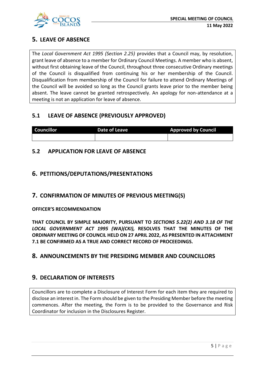

## **5. LEAVE OF ABSENCE**

The *Local Government Act 1995 (Section 2.25)* provides that a Council may, by resolution, grant leave of absence to a member for Ordinary Council Meetings. A member who is absent, without first obtaining leave of the Council, throughout three consecutive Ordinary meetings of the Council is disqualified from continuing his or her membership of the Council. Disqualification from membership of the Council for failure to attend Ordinary Meetings of the Council will be avoided so long as the Council grants leave prior to the member being absent. The leave cannot be granted retrospectively. An apology for non-attendance at a meeting is not an application for leave of absence.

## **5.1 LEAVE OF ABSENCE (PREVIOUSLY APPROVED)**

| <b>Councillor</b> | Date of Leave | <b>Approved by Council</b> |
|-------------------|---------------|----------------------------|
|                   |               |                            |

## **5.2 APPLICATION FOR LEAVE OF ABSENCE**

## **6. PETITIONS/DEPUTATIONS/PRESENTATIONS**

## **7. CONFIRMATION OF MINUTES OF PREVIOUS MEETING(S)**

#### **OFFICER'S RECOMMENDATION**

**THAT COUNCIL BY SIMPLE MAJORITY, PURSUANT TO** *SECTIONS 5.22(2) AND 3.18 OF THE LOCAL GOVERNMENT ACT 1995 (WA)(CKI),* **RESOLVES THAT THE MINUTES OF THE ORDINARY MEETING OF COUNCIL HELD ON 27 APRIL 2022, AS PRESENTED IN ATTACHMENT 7.1 BE CONFIRMED AS A TRUE AND CORRECT RECORD OF PROCEEDINGS.**

## **8. ANNOUNCEMENTS BY THE PRESIDING MEMBER AND COUNCILLORS**

## **9. DECLARATION OF INTERESTS**

Councillors are to complete a Disclosure of Interest Form for each item they are required to disclose an interest in. The Form should be given to the Presiding Member before the meeting commences. After the meeting, the Form is to be provided to the Governance and Risk Coordinator for inclusion in the Disclosures Register.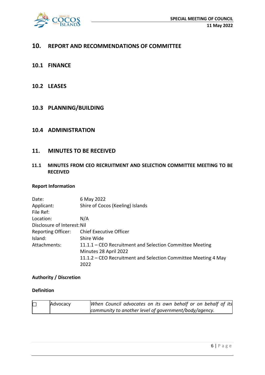

## **10. REPORT AND RECOMMENDATIONS OF COMMITTEE**

- **10.1 FINANCE**
- **10.2 LEASES**
- **10.3 PLANNING/BUILDING**

#### **10.4 ADMINISTRATION**

#### **11. MINUTES TO BE RECEIVED**

#### **11.1 MINUTES FROM CEO RECRUITMENT AND SELECTION COMMITTEE MEETING TO BE RECEIVED**

#### **Report Information**

Date: 6 May 2022 Applicant: Shire of Cocos (Keeling) Islands File Ref: Location: N/A Disclosure of Interest:Nil Reporting Officer: Chief Executive Officer Island: Shire Wide Attachments: 11.1.1 – CEO Recruitment and Selection Committee Meeting Minutes 28 April 2022 11.1.2 – CEO Recruitment and Selection Committee Meeting 4 May 2022

#### **Authority / Discretion**

#### **Definition**

| $\Box$ | Advocacy | When Council advocates on its own behalf or on behalf of its |
|--------|----------|--------------------------------------------------------------|
|        |          | community to another level of government/body/agency.        |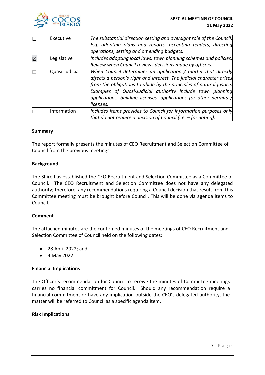

| П      | Executive      | The substantial direction setting and oversight role of the Council.      |
|--------|----------------|---------------------------------------------------------------------------|
|        |                | E.g. adopting plans and reports, accepting tenders, directing             |
|        |                | operations, setting and amending budgets.                                 |
| 区      | Legislative    | Includes adopting local laws, town planning schemes and policies.         |
|        |                | Review when Council reviews decisions made by officers.                   |
| $\Box$ | Quasi-Judicial | When Council determines an application / matter that directly             |
|        |                | affects a person's right and interest. The judicial character arises      |
|        |                | from the obligations to abide by the principles of natural justice.       |
|        |                | Examples of Quasi-Judicial authority include town planning                |
|        |                | applications, building licenses, applications for other permits $\Lambda$ |
|        |                | licenses.                                                                 |
| П      | Information    | Includes items provides to Council for information purposes only          |
|        |                | that do not require a decision of Council (i.e. $-$ for noting).          |

#### **Summary**

The report formally presents the minutes of CEO Recruitment and Selection Committee of Council from the previous meetings.

#### **Background**

The Shire has established the CEO Recruitment and Selection Committee as a Committee of Council. The CEO Recruitment and Selection Committee does not have any delegated authority; therefore, any recommendations requiring a Council decision that result from this Committee meeting must be brought before Council. This will be done via agenda items to Council.

#### **Comment**

The attached minutes are the confirmed minutes of the meetings of CEO Recruitment and Selection Committee of Council held on the following dates:

- 28 April 2022; and
- 4 May 2022

#### **Financial Implications**

The Officer's recommendation for Council to receive the minutes of Committee meetings carries no financial commitment for Council. Should any recommendation require a financial commitment or have any implication outside the CEO's delegated authority, the matter will be referred to Council as a specific agenda item.

#### **Risk Implications**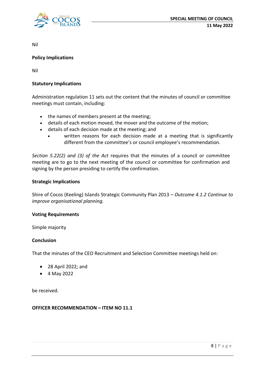

Nil

#### **Policy Implications**

Nil

#### **Statutory Implications**

Administration regulation 11 sets out the content that the minutes of council or committee meetings must contain, including:

- the names of members present at the meeting;
- details of each motion moved, the mover and the outcome of the motion;
- details of each decision made at the meeting; and
	- written reasons for each decision made at a meeting that is significantly different from the committee's or council employee's recommendation.

*Section 5.22(2) and (3) of the Act* requires that the minutes of a council or committee meeting are to go to the next meeting of the council or committee for confirmation and signing by the person presiding to certify the confirmation.

#### **Strategic Implications**

Shire of Cocos (Keeling) Islands Strategic Community Plan 2013 *– Outcome 4.1.2 Continue to improve organisational planning.*

#### **Voting Requirements**

Simple majority

#### **Conclusion**

That the minutes of the CEO Recruitment and Selection Committee meetings held on:

- 28 April 2022; and
- 4 May 2022

be received.

#### **OFFICER RECOMMENDATION – ITEM NO 11.1**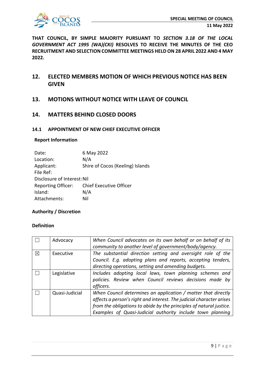

**THAT COUNCIL, BY SIMPLE MAJORITY PURSUANT TO** *SECTION 3.18 OF THE LOCAL GOVERNMENT ACT 1995 (WA)(CKI)* **RESOLVES TO RECEIVE THE MINUTES OF THE CEO RECRUITMENT AND SELECTION COMMITTEE MEETINGS HELD ON 28 APRIL 2022 AND 4 MAY 2022.**

## **12. ELECTED MEMBERS MOTION OF WHICH PREVIOUS NOTICE HAS BEEN GIVEN**

**13. MOTIONS WITHOUT NOTICE WITH LEAVE OF COUNCIL**

#### **14. MATTERS BEHIND CLOSED DOORS**

#### **14.1 APPOINTMENT OF NEW CHIEF EXECUTIVE OFFICER**

#### **Report Information**

| Date:                       | 6 May 2022                       |
|-----------------------------|----------------------------------|
| Location:                   | N/A                              |
| Applicant:                  | Shire of Cocos (Keeling) Islands |
| File Ref:                   |                                  |
| Disclosure of Interest: Nil |                                  |
| <b>Reporting Officer:</b>   | <b>Chief Executive Officer</b>   |
| Island:                     | N/A                              |
| Attachments:                | Nil                              |

#### **Authority / Discretion**

#### **Definition**

|          | Advocacy       | When Council advocates on its own behalf or on behalf of its<br>community to another level of government/body/agency.                                                                                                                                                      |
|----------|----------------|----------------------------------------------------------------------------------------------------------------------------------------------------------------------------------------------------------------------------------------------------------------------------|
| $\times$ | Executive      | The substantial direction setting and oversight role of the<br>Council. E.g. adopting plans and reports, accepting tenders,<br>directing operations, setting and amending budgets.                                                                                         |
|          | Legislative    | Includes adopting local laws, town planning schemes and<br>policies. Review when Council reviews decisions made by<br>officers.                                                                                                                                            |
|          | Quasi-Judicial | When Council determines an application / matter that directly<br>affects a person's right and interest. The judicial character arises<br>from the obligations to abide by the principles of natural justice.<br>Examples of Quasi-Judicial authority include town planning |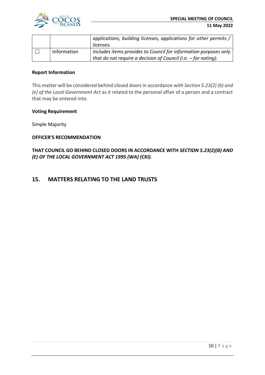

|             | applications, building licenses, applications for other permits / |
|-------------|-------------------------------------------------------------------|
|             | licenses.                                                         |
| Information | Includes items provides to Council for information purposes only  |
|             |                                                                   |

#### **Report Information**

This matter will be considered behind closed doors in accordance *with Section 5.23(2) (b) and (e) of the Local Government Act* as it related to the personal affair of a person and a contract that may be entered into.

#### **Voting Requirement**

Simple Majority

#### **OFFICER'S RECOMMENDATION**

**THAT COUNCIL GO BEHIND CLOSED DOORS IN ACCORDANCE WITH** *SECTION 5.23(2)(B) AND (E) OF THE LOCAL GOVERNMENT ACT 1995 (WA) (CKI).*

#### **15. MATTERS RELATING TO THE LAND TRUSTS**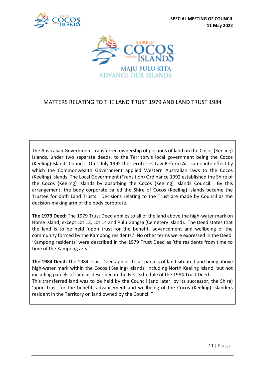



## MATTERS RELATING TO THE LAND TRUST 1979 AND LAND TRUST 1984

The Australian Government transferred ownership of portions of land on the Cocos (Keeling) Islands, under two separate deeds, to the Territory's local government being the Cocos (Keeling) Islands Council. On 1 July 1992 the Territories Law Reform Act came into effect by which the Commonwealth Government applied Western Australian laws to the Cocos (Keeling) Islands. The Local Government (Transition) Ordinance 1992 established the Shire of the Cocos (Keeling) Islands by absorbing the Cocos (Keeling) Islands Council. By this arrangement, the body corporate called the Shire of Cocos (Keeling) Islands became the Trustee for both Land Trusts. Decisions relating to the Trust are made by Council as the decision-making arm of the body corporate.

**The 1979 Deed:** The 1979 Trust Deed applies to all of the land above the high-water mark on Home Island, except Lot 13, Lot 14 and Pulu Gangsa (Cemetery Island). The Deed states that the land is to be held 'upon trust for the benefit, advancement and wellbeing of the community formed by the Kampong residents.' No other terms were expressed in the Deed. 'Kampong residents' were described in the 1979 Trust Deed as 'the residents from time to time of the Kampong area'.

**The 1984 Deed:** The 1984 Trust Deed applies to all parcels of land situated and being above high-water mark within the Cocos (Keeling) Islands, including North Keeling Island, but not including parcels of land as described in the First Schedule of the 1984 Trust Deed. This transferred land was to be held by the Council (and later, by its successor, the Shire) 'upon trust for the benefit, advancement and wellbeing of the Cocos (Keeling) Islanders resident in the Territory on land owned by the Council."